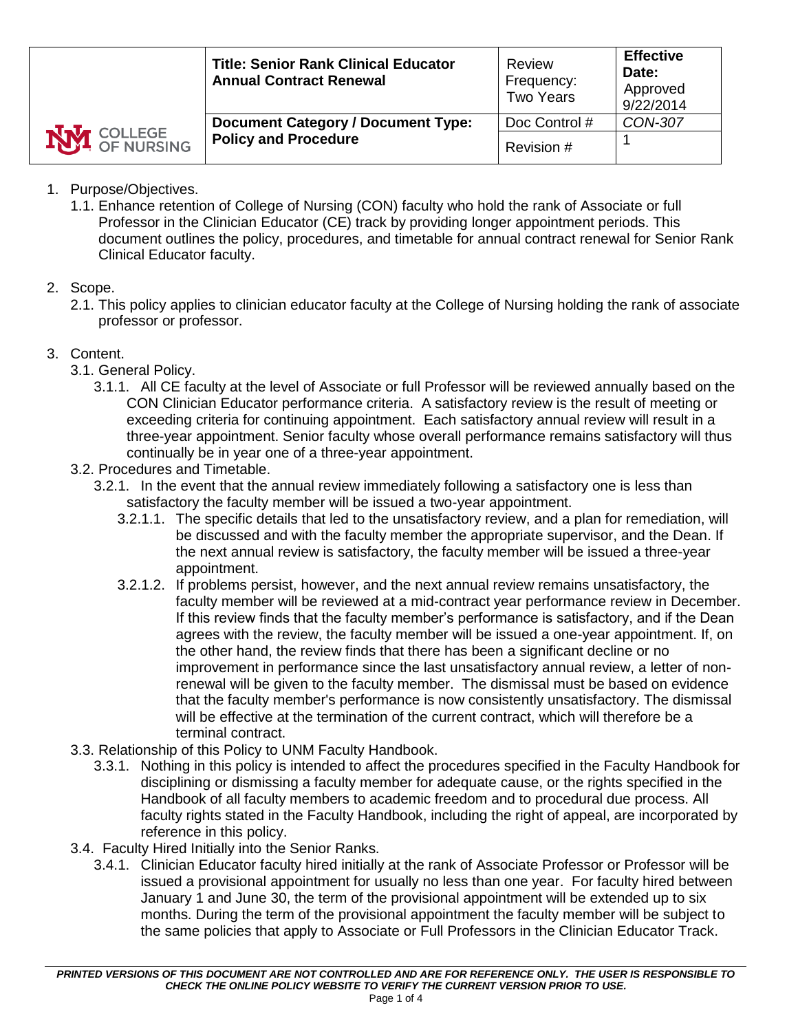|                    | <b>Title: Senior Rank Clinical Educator</b><br><b>Annual Contract Renewal</b> | Review<br>Frequency:<br><b>Two Years</b> | <b>Effective</b><br>Date:<br>Approved<br>9/22/2014 |
|--------------------|-------------------------------------------------------------------------------|------------------------------------------|----------------------------------------------------|
| <b>NVI</b> COLLEGE | <b>Document Category / Document Type:</b><br><b>Policy and Procedure</b>      | Doc Control #<br>Revision #              | CON-307                                            |
|                    |                                                                               |                                          |                                                    |

- 1. Purpose/Objectives.
	- 1.1. Enhance retention of College of Nursing (CON) faculty who hold the rank of Associate or full Professor in the Clinician Educator (CE) track by providing longer appointment periods. This document outlines the policy, procedures, and timetable for annual contract renewal for Senior Rank Clinical Educator faculty.
- 2. Scope.
	- 2.1. This policy applies to clinician educator faculty at the College of Nursing holding the rank of associate professor or professor.
- 3. Content.
	- 3.1. General Policy.
		- 3.1.1. All CE faculty at the level of Associate or full Professor will be reviewed annually based on the CON Clinician Educator performance criteria. A satisfactory review is the result of meeting or exceeding criteria for continuing appointment. Each satisfactory annual review will result in a three-year appointment. Senior faculty whose overall performance remains satisfactory will thus continually be in year one of a three-year appointment.
	- 3.2. Procedures and Timetable.
		- 3.2.1. In the event that the annual review immediately following a satisfactory one is less than satisfactory the faculty member will be issued a two-year appointment.
			- 3.2.1.1. The specific details that led to the unsatisfactory review, and a plan for remediation, will be discussed and with the faculty member the appropriate supervisor, and the Dean. If the next annual review is satisfactory, the faculty member will be issued a three-year appointment.
			- 3.2.1.2. If problems persist, however, and the next annual review remains unsatisfactory, the faculty member will be reviewed at a mid-contract year performance review in December. If this review finds that the faculty member's performance is satisfactory, and if the Dean agrees with the review, the faculty member will be issued a one-year appointment. If, on the other hand, the review finds that there has been a significant decline or no improvement in performance since the last unsatisfactory annual review, a letter of nonrenewal will be given to the faculty member. The dismissal must be based on evidence that the faculty member's performance is now consistently unsatisfactory. The dismissal will be effective at the termination of the current contract, which will therefore be a terminal contract.
	- 3.3. Relationship of this Policy to UNM Faculty Handbook.
		- 3.3.1. Nothing in this policy is intended to affect the procedures specified in the Faculty Handbook for disciplining or dismissing a faculty member for adequate cause, or the rights specified in the Handbook of all faculty members to academic freedom and to procedural due process. All faculty rights stated in the Faculty Handbook, including the right of appeal, are incorporated by reference in this policy.
	- 3.4. Faculty Hired Initially into the Senior Ranks.
		- 3.4.1. Clinician Educator faculty hired initially at the rank of Associate Professor or Professor will be issued a provisional appointment for usually no less than one year. For faculty hired between January 1 and June 30, the term of the provisional appointment will be extended up to six months. During the term of the provisional appointment the faculty member will be subject to the same policies that apply to Associate or Full Professors in the Clinician Educator Track.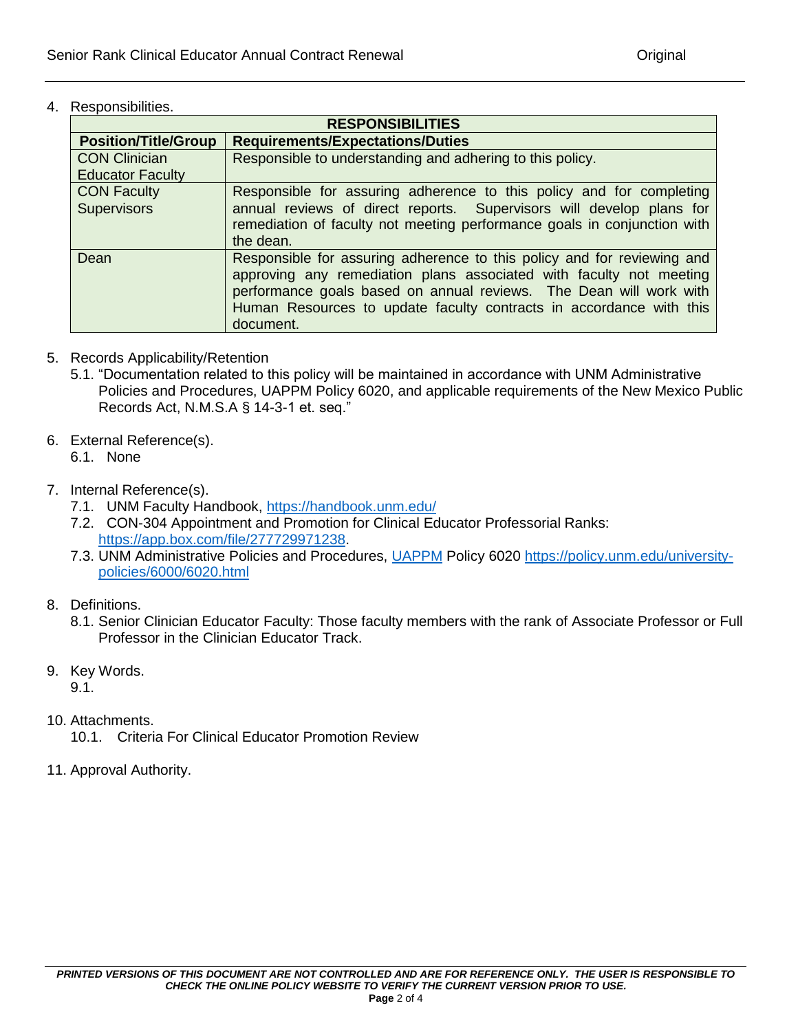4. Responsibilities.

| <b>RESPONSIBILITIES</b>                  |                                                                                                                                                                                                                                                                                                          |  |
|------------------------------------------|----------------------------------------------------------------------------------------------------------------------------------------------------------------------------------------------------------------------------------------------------------------------------------------------------------|--|
| <b>Position/Title/Group</b>              | <b>Requirements/Expectations/Duties</b>                                                                                                                                                                                                                                                                  |  |
| <b>CON Clinician</b>                     | Responsible to understanding and adhering to this policy.                                                                                                                                                                                                                                                |  |
| <b>Educator Faculty</b>                  |                                                                                                                                                                                                                                                                                                          |  |
| <b>CON Faculty</b><br><b>Supervisors</b> | Responsible for assuring adherence to this policy and for completing<br>annual reviews of direct reports. Supervisors will develop plans for<br>remediation of faculty not meeting performance goals in conjunction with<br>the dean.                                                                    |  |
| Dean                                     | Responsible for assuring adherence to this policy and for reviewing and<br>approving any remediation plans associated with faculty not meeting<br>performance goals based on annual reviews. The Dean will work with<br>Human Resources to update faculty contracts in accordance with this<br>document. |  |

- 5. Records Applicability/Retention
	- 5.1. "Documentation related to this policy will be maintained in accordance with UNM Administrative Policies and Procedures, UAPPM Policy 6020, and applicable requirements of the New Mexico Public Records Act, N.M.S.A § 14-3-1 et. seq."
- 6. External Reference(s).
	- 6.1. None
- 7. Internal Reference(s).
	- 7.1. UNM Faculty Handbook,<https://handbook.unm.edu/>
	- 7.2. CON-304 Appointment and Promotion for Clinical Educator Professorial Ranks: [https://app.box.com/file/277729971238.](https://app.box.com/file/277729971238)
	- 7.3. UNM Administrative Policies and Procedures, [UAPPM](../HSC%20POLICY%20PROJECT-Linda/“Documentation%20related%20to%20this%20policy%20will%20be%20maintained%20in%20accordance%20with%20UNM%20Administrative%20Policies%20and%20Procedures,%20UAPPM%20Policy%206020,%20and%20applicable%20requirements%20of%20the%20New%20Mexico%20Public%20Records%20Act,%20N.M.S.A%20§%2014-3-1%20et.%20seq.”) Policy 6020 [https://policy.unm.edu/university](https://policy.unm.edu/university-policies/6000/6020.html)[policies/6000/6020.html](https://policy.unm.edu/university-policies/6000/6020.html)
- 8. Definitions.
	- 8.1. Senior Clinician Educator Faculty: Those faculty members with the rank of Associate Professor or Full Professor in the Clinician Educator Track.
- 9. Key Words.

9.1.

- 10. Attachments.
	- 10.1. Criteria For Clinical Educator Promotion Review
- 11. Approval Authority.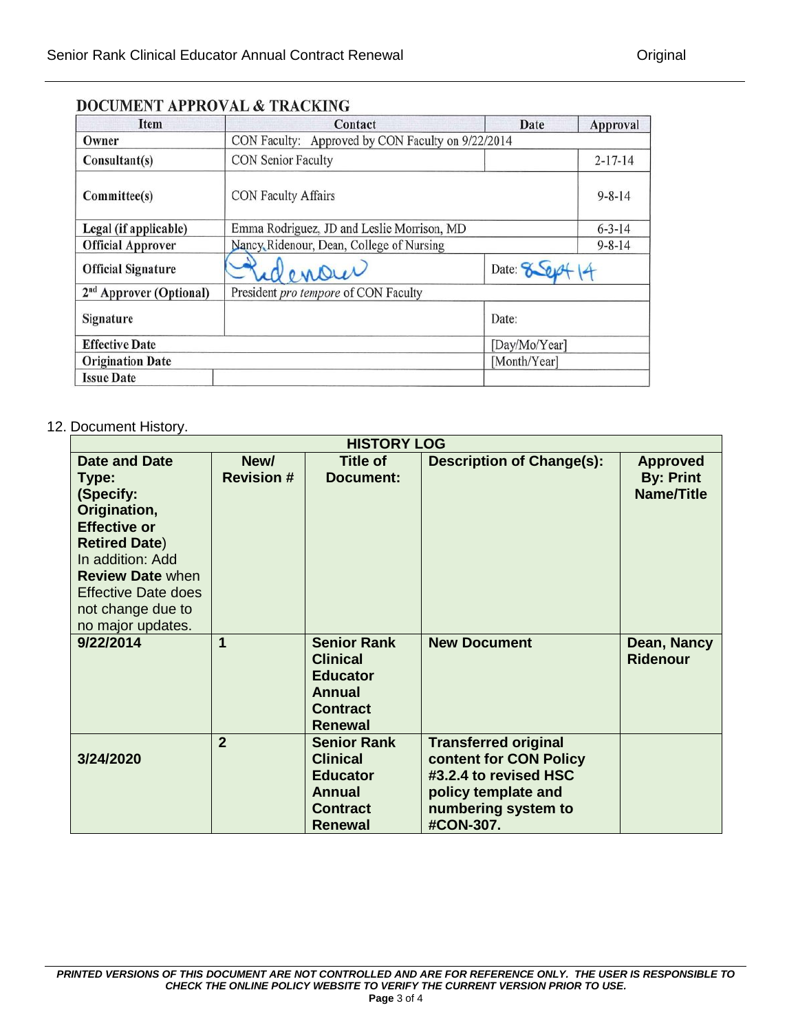| <b>Item</b>                         | Contact                                           | Date          | Approval      |
|-------------------------------------|---------------------------------------------------|---------------|---------------|
| Owner                               | CON Faculty: Approved by CON Faculty on 9/22/2014 |               |               |
| Consultant(s)                       | CON Senior Faculty                                |               | $2 - 17 - 14$ |
| Committee(s)                        | CON Faculty Affairs                               |               | $9 - 8 - 14$  |
| Legal (if applicable)               | Emma Rodriguez, JD and Leslie Morrison, MD        |               | $6 - 3 - 14$  |
| <b>Official Approver</b>            | Nancy Ridenour, Dean, College of Nursing          |               | $9 - 8 - 14$  |
| <b>Official Signature</b>           | Date: 8 0<br>denour                               |               |               |
| 2 <sup>nd</sup> Approver (Optional) | President pro tempore of CON Faculty              |               |               |
| Signature                           |                                                   | Date:         |               |
| <b>Effective Date</b>               |                                                   | [Day/Mo/Year] |               |
| <b>Origination Date</b>             |                                                   | [Month/Year]  |               |
| <b>Issue Date</b>                   |                                                   |               |               |

# **DOCUMENT APPROVAL & TRACKING**

## 12. Document History.

| <b>HISTORY LOG</b>                                                                                                                                                                                                               |                           |                                                                                                         |                                                                                                                                           |                                                          |
|----------------------------------------------------------------------------------------------------------------------------------------------------------------------------------------------------------------------------------|---------------------------|---------------------------------------------------------------------------------------------------------|-------------------------------------------------------------------------------------------------------------------------------------------|----------------------------------------------------------|
| <b>Date and Date</b><br>Type:<br>(Specify:<br>Origination,<br><b>Effective or</b><br><b>Retired Date)</b><br>In addition: Add<br><b>Review Date when</b><br><b>Effective Date does</b><br>not change due to<br>no major updates. | New/<br><b>Revision #</b> | Title of<br>Document:                                                                                   | <b>Description of Change(s):</b>                                                                                                          | <b>Approved</b><br><b>By: Print</b><br><b>Name/Title</b> |
| 9/22/2014                                                                                                                                                                                                                        | 1                         | <b>Senior Rank</b><br><b>Clinical</b><br><b>Educator</b><br>Annual<br><b>Contract</b><br><b>Renewal</b> | <b>New Document</b>                                                                                                                       | Dean, Nancy<br><b>Ridenour</b>                           |
| 3/24/2020                                                                                                                                                                                                                        | $\overline{2}$            | <b>Senior Rank</b><br><b>Clinical</b><br><b>Educator</b><br><b>Annual</b><br><b>Contract</b><br>Renewal | <b>Transferred original</b><br>content for CON Policy<br>#3.2.4 to revised HSC<br>policy template and<br>numbering system to<br>#CON-307. |                                                          |